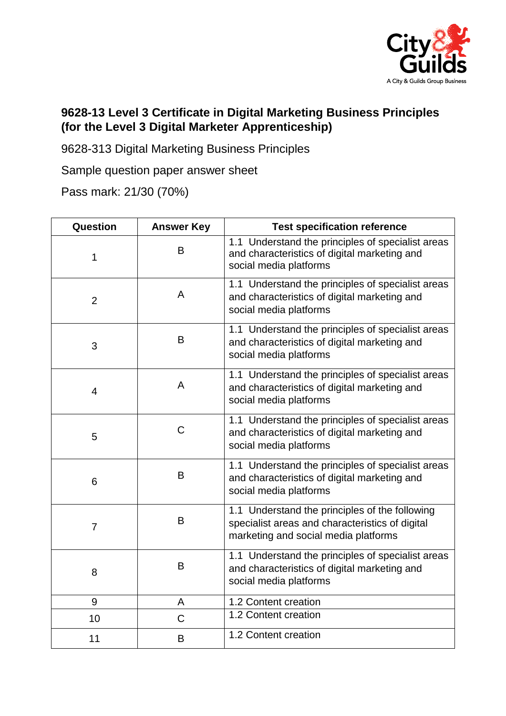

## **9628-13 Level 3 Certificate in Digital Marketing Business Principles (for the Level 3 Digital Marketer Apprenticeship)**

9628-313 Digital Marketing Business Principles

Sample question paper answer sheet

Pass mark: 21/30 (70%)

| Question       | <b>Answer Key</b> | <b>Test specification reference</b>                                                                                                       |
|----------------|-------------------|-------------------------------------------------------------------------------------------------------------------------------------------|
| 1              | B                 | 1.1 Understand the principles of specialist areas<br>and characteristics of digital marketing and<br>social media platforms               |
| $\overline{2}$ | A                 | 1.1 Understand the principles of specialist areas<br>and characteristics of digital marketing and<br>social media platforms               |
| 3              | B                 | 1.1 Understand the principles of specialist areas<br>and characteristics of digital marketing and<br>social media platforms               |
| 4              | A                 | 1.1 Understand the principles of specialist areas<br>and characteristics of digital marketing and<br>social media platforms               |
| 5              | C                 | 1.1 Understand the principles of specialist areas<br>and characteristics of digital marketing and<br>social media platforms               |
| 6              | B                 | 1.1 Understand the principles of specialist areas<br>and characteristics of digital marketing and<br>social media platforms               |
| $\overline{7}$ | B                 | 1.1 Understand the principles of the following<br>specialist areas and characteristics of digital<br>marketing and social media platforms |
| 8              | B                 | 1.1 Understand the principles of specialist areas<br>and characteristics of digital marketing and<br>social media platforms               |
| 9              | A                 | 1.2 Content creation                                                                                                                      |
| 10             | C                 | 1.2 Content creation                                                                                                                      |
| 11             | B                 | 1.2 Content creation                                                                                                                      |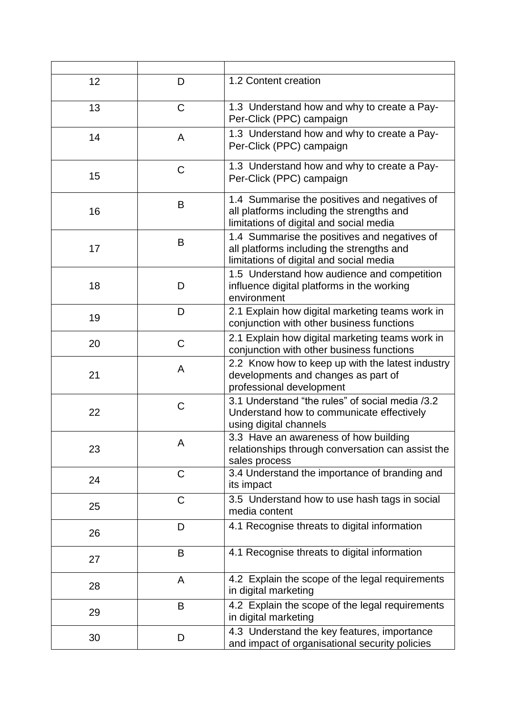| 12 | D | 1.2 Content creation                                                                                                                 |
|----|---|--------------------------------------------------------------------------------------------------------------------------------------|
| 13 | C | 1.3 Understand how and why to create a Pay-<br>Per-Click (PPC) campaign                                                              |
| 14 | A | 1.3 Understand how and why to create a Pay-<br>Per-Click (PPC) campaign                                                              |
| 15 | C | 1.3 Understand how and why to create a Pay-<br>Per-Click (PPC) campaign                                                              |
| 16 | B | 1.4 Summarise the positives and negatives of<br>all platforms including the strengths and<br>limitations of digital and social media |
| 17 | B | 1.4 Summarise the positives and negatives of<br>all platforms including the strengths and<br>limitations of digital and social media |
| 18 | D | 1.5 Understand how audience and competition<br>influence digital platforms in the working<br>environment                             |
| 19 | D | 2.1 Explain how digital marketing teams work in<br>conjunction with other business functions                                         |
| 20 | C | 2.1 Explain how digital marketing teams work in<br>conjunction with other business functions                                         |
| 21 | A | 2.2 Know how to keep up with the latest industry<br>developments and changes as part of<br>professional development                  |
| 22 | C | 3.1 Understand "the rules" of social media /3.2<br>Understand how to communicate effectively<br>using digital channels               |
| 23 | A | 3.3 Have an awareness of how building<br>relationships through conversation can assist the<br>sales process                          |
| 24 | C | 3.4 Understand the importance of branding and<br>its impact                                                                          |
| 25 | C | 3.5 Understand how to use hash tags in social<br>media content                                                                       |
| 26 | D | 4.1 Recognise threats to digital information                                                                                         |
| 27 | B | 4.1 Recognise threats to digital information                                                                                         |
| 28 | A | 4.2 Explain the scope of the legal requirements<br>in digital marketing                                                              |
| 29 | B | 4.2 Explain the scope of the legal requirements<br>in digital marketing                                                              |
| 30 | D | 4.3 Understand the key features, importance<br>and impact of organisational security policies                                        |